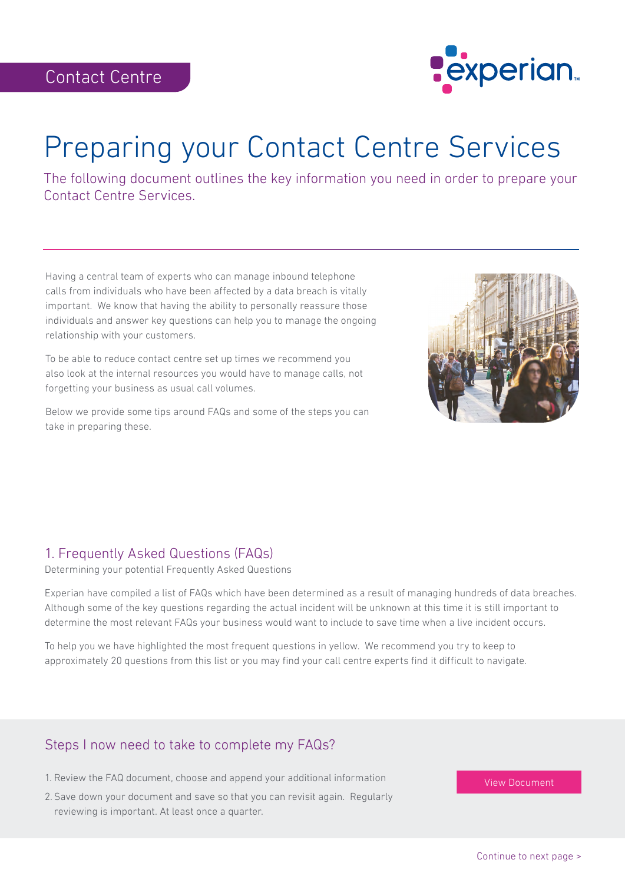

# Preparing your Contact Centre Services

The following document outlines the key information you need in order to prepare your Contact Centre Services.

Having a central team of experts who can manage inbound telephone calls from individuals who have been affected by a data breach is vitally important. We know that having the ability to personally reassure those individuals and answer key questions can help you to manage the ongoing relationship with your customers.

To be able to reduce contact centre set up times we recommend you also look at the internal resources you would have to manage calls, not forgetting your business as usual call volumes.

Below we provide some tips around FAQs and some of the steps you can take in preparing these.



## 1. Frequently Asked Questions (FAQs)

Determining your potential Frequently Asked Questions

Experian have compiled a list of FAQs which have been determined as a result of managing hundreds of data breaches. Although some of the key questions regarding the actual incident will be unknown at this time it is still important to determine the most relevant FAQs your business would want to include to save time when a live incident occurs.

To help you we have highlighted the most frequent questions in yellow. We recommend you try to keep to approximately 20 questions from this list or you may find your call centre experts find it difficult to navigate.

## Steps I now need to take to complete my FAQs?

- 1. Review the FAQ document, choose and append your additional information
- 2. Save down your document and save so that you can revisit again. Regularly reviewing is important. At least once a quarter.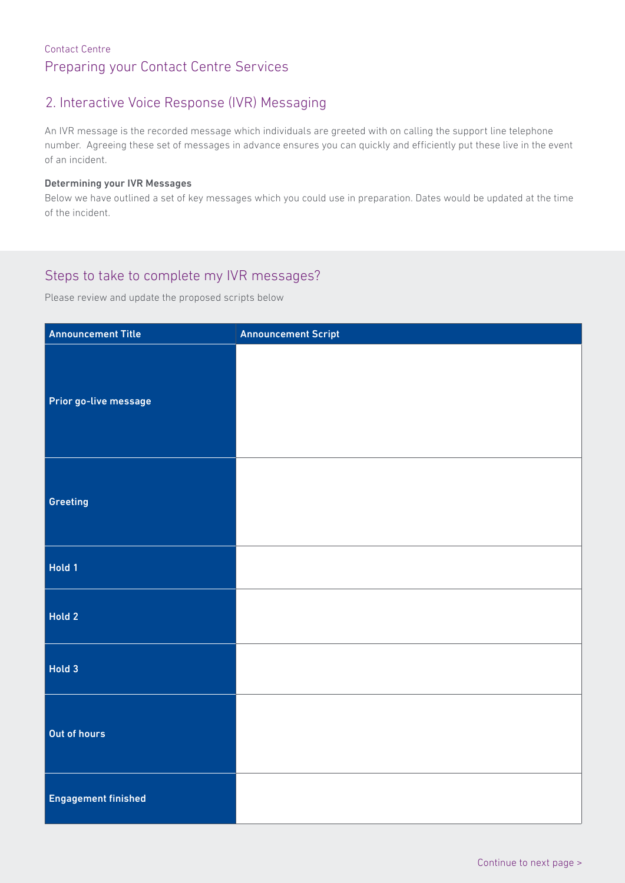#### Contact Centre Preparing your Contact Centre Services

## 2. Interactive Voice Response (IVR) Messaging

An IVR message is the recorded message which individuals are greeted with on calling the support line telephone number. Agreeing these set of messages in advance ensures you can quickly and efficiently put these live in the event of an incident.

#### Determining your IVR Messages

Below we have outlined a set of key messages which you could use in preparation. Dates would be updated at the time of the incident.

#### Steps to take to complete my IVR messages?

Please review and update the proposed scripts below

| <b>Announcement Title</b>  | <b>Announcement Script</b> |
|----------------------------|----------------------------|
| Prior go-live message      |                            |
| Greeting                   |                            |
| Hold 1                     |                            |
| Hold 2                     |                            |
| Hold 3                     |                            |
| Out of hours               |                            |
| <b>Engagement finished</b> |                            |